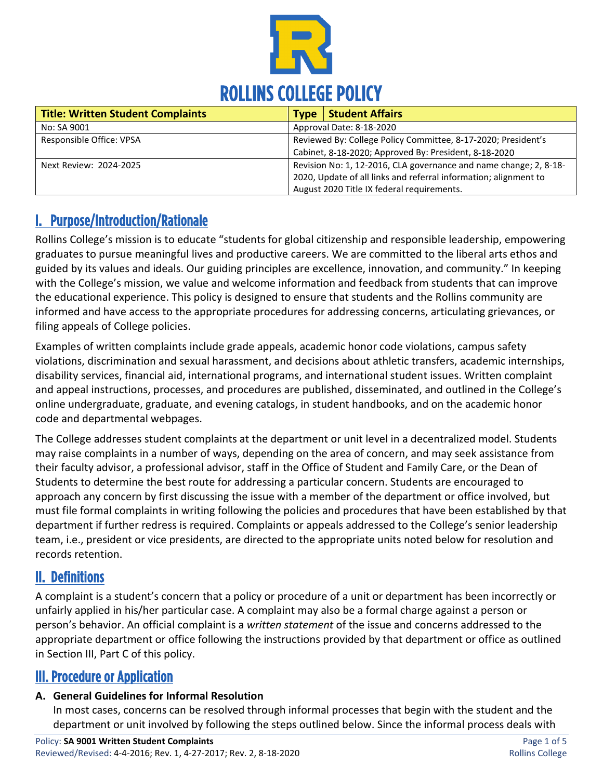

| <b>Title: Written Student Complaints</b> | <b>Type</b>                                                       | <b>Student Affairs</b>                                           |
|------------------------------------------|-------------------------------------------------------------------|------------------------------------------------------------------|
| No: SA 9001                              | Approval Date: 8-18-2020                                          |                                                                  |
| Responsible Office: VPSA                 | Reviewed By: College Policy Committee, 8-17-2020; President's     |                                                                  |
|                                          | Cabinet, 8-18-2020; Approved By: President, 8-18-2020             |                                                                  |
| Next Review: 2024-2025                   | Revision No: 1, 12-2016, CLA governance and name change; 2, 8-18- |                                                                  |
|                                          |                                                                   | 2020, Update of all links and referral information; alignment to |
|                                          |                                                                   | August 2020 Title IX federal requirements.                       |

# I. Purpose/Introduction/Rationale

Rollins College's mission is to educate "students for global citizenship and responsible leadership, empowering graduates to pursue meaningful lives and productive careers. We are committed to the liberal arts ethos and guided by its values and ideals. Our guiding principles are excellence, innovation, and community." In keeping with the College's mission, we value and welcome information and feedback from students that can improve the educational experience. This policy is designed to ensure that students and the Rollins community are informed and have access to the appropriate procedures for addressing concerns, articulating grievances, or filing appeals of College policies.

Examples of written complaints include grade appeals, academic honor code violations, campus safety violations, discrimination and sexual harassment, and decisions about athletic transfers, academic internships, disability services, financial aid, international programs, and international student issues. Written complaint and appeal instructions, processes, and procedures are published, disseminated, and outlined in the College's online undergraduate, graduate, and evening catalogs, in student handbooks, and on the academic honor code and departmental webpages.

The College addresses student complaints at the department or unit level in a decentralized model. Students may raise complaints in a number of ways, depending on the area of concern, and may seek assistance from their faculty advisor, a professional advisor, staff in the Office of Student and Family Care, or the Dean of Students to determine the best route for addressing a particular concern. Students are encouraged to approach any concern by first discussing the issue with a member of the department or office involved, but must file formal complaints in writing following the policies and procedures that have been established by that department if further redress is required. Complaints or appeals addressed to the College's senior leadership team, i.e., president or vice presidents, are directed to the appropriate units noted below for resolution and records retention.

### II. Definitions

A complaint is a student's concern that a policy or procedure of a unit or department has been incorrectly or unfairly applied in his/her particular case. A complaint may also be a formal charge against a person or person's behavior. An official complaint is a *written statement* of the issue and concerns addressed to the appropriate department or office following the instructions provided by that department or office as outlined in Section III, Part C of this policy.

# III. Procedure or Application

### **A. General Guidelines for Informal Resolution**

In most cases, concerns can be resolved through informal processes that begin with the student and the department or unit involved by following the steps outlined below. Since the informal process deals with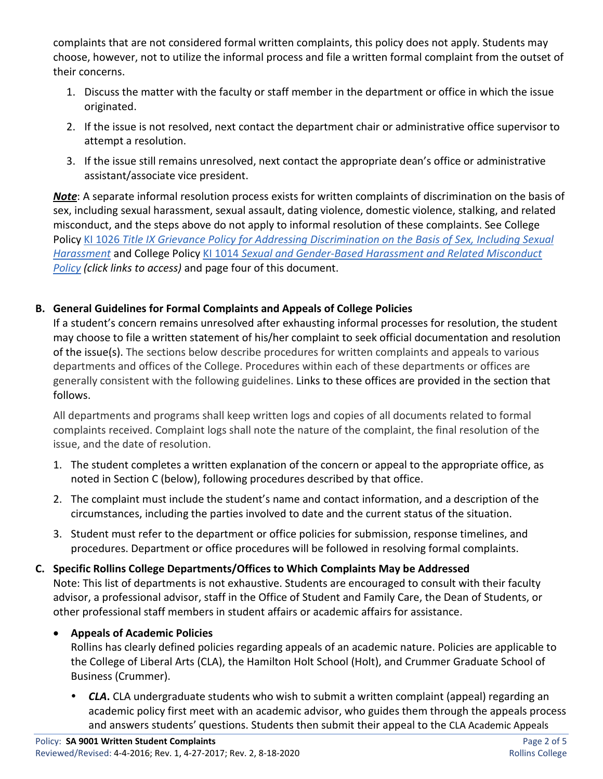complaints that are not considered formal written complaints, this policy does not apply. Students may choose, however, not to utilize the informal process and file a written formal complaint from the outset of their concerns.

- 1. Discuss the matter with the faculty or staff member in the department or office in which the issue originated.
- 2. If the issue is not resolved, next contact the department chair or administrative office supervisor to attempt a resolution.
- 3. If the issue still remains unresolved, next contact the appropriate dean's office or administrative assistant/associate vice president.

*Note*: A separate informal resolution process exists for written complaints of discrimination on the basis of sex, including sexual harassment, sexual assault, dating violence, domestic violence, stalking, and related misconduct, and the steps above do not apply to informal resolution of these complaints. See College Policy KI 1026 *[Title IX Grievance Policy for Addressing Discrimination on the Basis of Sex, Including Sexual](https://rpublic.rollins.edu/sites/IR/Shared%20Documents/KI%201026%20Title%20IX%20Grievance%20Policy%208-14-20%20FINAL.pdf)  [Harassment](https://rpublic.rollins.edu/sites/IR/Shared%20Documents/KI%201026%20Title%20IX%20Grievance%20Policy%208-14-20%20FINAL.pdf)* and College Policy KI 1014 *[Sexual and Gender-Based Harassment and Related Misconduct](https://www.rollins.edu/sexual-misconduct/documents/rollins-college-title-ix-policy-9-19.pdf)  [Policy](https://www.rollins.edu/sexual-misconduct/documents/rollins-college-title-ix-policy-9-19.pdf) (click links to access)* and page four of this document.

### **B. General Guidelines for Formal Complaints and Appeals of College Policies**

If a student's concern remains unresolved after exhausting informal processes for resolution, the student may choose to file a written statement of his/her complaint to seek official documentation and resolution of the issue(s). The sections below describe procedures for written complaints and appeals to various departments and offices of the College. Procedures within each of these departments or offices are generally consistent with the following guidelines. Links to these offices are provided in the section that follows.

All departments and programs shall keep written logs and copies of all documents related to formal complaints received. Complaint logs shall note the nature of the complaint, the final resolution of the issue, and the date of resolution.

- 1. The student completes a written explanation of the concern or appeal to the appropriate office, as noted in Section C (below), following procedures described by that office.
- 2. The complaint must include the student's name and contact information, and a description of the circumstances, including the parties involved to date and the current status of the situation.
- 3. Student must refer to the department or office policies for submission, response timelines, and procedures. Department or office procedures will be followed in resolving formal complaints.
- **C. Specific Rollins College Departments/Offices to Which Complaints May be Addressed** Note: This list of departments is not exhaustive. Students are encouraged to consult with their faculty advisor, a professional advisor, staff in the Office of Student and Family Care, the Dean of Students, or other professional staff members in student affairs or academic affairs for assistance.

### • **Appeals of Academic Policies**

Rollins has clearly defined policies regarding appeals of an academic nature. Policies are applicable to the College of Liberal Arts (CLA), the Hamilton Holt School (Holt), and Crummer Graduate School of Business (Crummer).

 *CLA***.** CLA undergraduate students who wish to submit a written complaint (appeal) regarding an academic policy first meet with an academic advisor, who guides them through the appeals process and answers students' questions. Students then submit their appeal to the CLA Academic Appeals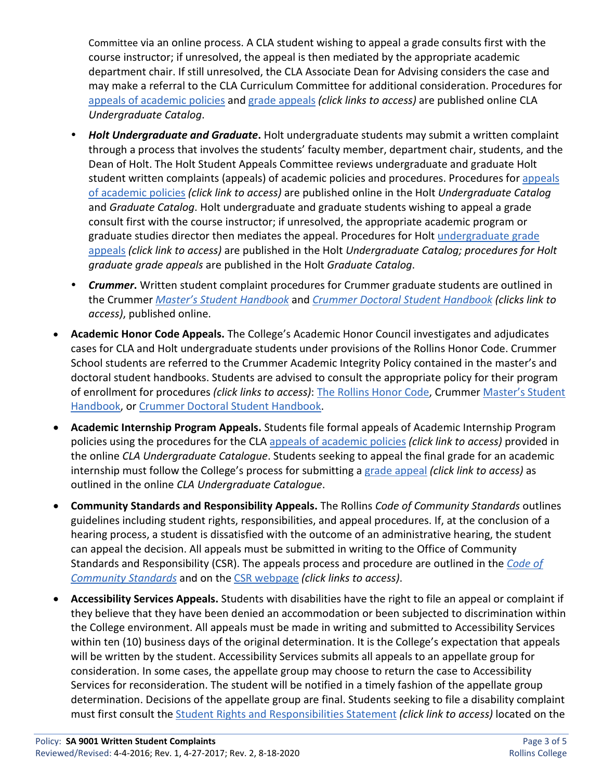Committee via an online process. A CLA student wishing to appeal a grade consults first with the course instructor; if unresolved, the appeal is then mediated by the appropriate academic department chair. If still unresolved, the CLA Associate Dean for Advising considers the case and may make a referral to the CLA Curriculum Committee for additional consideration. Procedures for [appeals of academic policies](https://catalog.rollins.edu/content.php?catoid=10&navoid=373#ap-acad-appeal) and [grade appeals](https://catalog.rollins.edu/content.php?catoid=10&navoid=373#ap-grade-appeal) *(click links to access)* are published online CLA *Undergraduate Catalog*.

- *Holt Undergraduate and Graduate***.** Holt undergraduate students may submit a written complaint through a process that involves the students' faculty member, department chair, students, and the Dean of Holt. The Holt Student Appeals Committee reviews undergraduate and graduate Holt student written complaints (appeals) of academic policies and procedures. Procedures for appeals [of academic policies](https://catalog.rollins.edu/content.php?catoid=11&navoid=417&hl=appeal&returnto=search#hamilton-holt-school-student-appeals-committee) *(click link to access)* are published online in the Holt *Undergraduate Catalog* and *Graduate Catalog*. Holt undergraduate and graduate students wishing to appeal a grade consult first with the course instructor; if unresolved, the appropriate academic program or graduate studies director then mediates the appeal. Procedures for Holt undergraduate grade [appeals](https://catalog.rollins.edu/content.php?catoid=11&navoid=417#grade-appeal-process) *(click link to access)* are published in the Holt *Undergraduate Catalog; procedures for Holt graduate grade appeals* are published in the Holt *Graduate Catalog*.
- *Crummer***.** Written student complaint procedures for Crummer graduate students are outlined in the Crummer *[Master's Student Handbook](https://crummer.rollins.edu/wp-content/uploads/2019/11/masters-student-handbook-2019-20.pdf)* and *[Crummer Doctoral Student Handbook](https://crummer.rollins.edu/wp-content/uploads/2019/11/edba-handbook-2019-2020.pdf) (clicks link to access)*, published online.
- **Academic Honor Code Appeals.** The College's Academic Honor Council investigates and adjudicates cases for CLA and Holt undergraduate students under provisions of the Rollins Honor Code. Crummer School students are referred to the Crummer Academic Integrity Policy contained in the master's and doctoral student handbooks. Students are advised to consult the appropriate policy for their program of enrollment for procedures *(click links to access)*: [The Rollins Honor Code,](https://www.rollins.edu/honor-code/academic-honor-code/) Crummer [Master's Student](https://crummer.rollins.edu/wp-content/uploads/2019/11/masters-student-handbook-2019-20.pdf)  [Handbook,](https://crummer.rollins.edu/wp-content/uploads/2019/11/masters-student-handbook-2019-20.pdf) or [Crummer Doctoral Student Handbook.](https://crummer.rollins.edu/wp-content/uploads/2019/11/edba-handbook-2019-2020.pdf)
- **Academic Internship Program Appeals.** Students file formal appeals of Academic Internship Program policies using the procedures for the CLA [appeals of academic policies](https://catalog.rollins.edu/content.php?catoid=10&navoid=373#ap-acad-appeal) *(click link to access)* provided in the online *CLA Undergraduate Catalogue*. Students seeking to appeal the final grade for an academic internship must follow the College's process for submitting a [grade appeal](https://catalog.rollins.edu/content.php?catoid=10&navoid=373#ap-grade-appeal) *(click link to access)* as outlined in the online *CLA Undergraduate Catalogue*.
- **Community Standards and Responsibility Appeals.** The Rollins *Code of Community Standards* outlines guidelines including student rights, responsibilities, and appeal procedures. If, at the conclusion of a hearing process, a student is dissatisfied with the outcome of an administrative hearing, the student can appeal the decision. All appeals must be submitted in writing to the Office of Community Standards and Responsibility (CSR). The appeals process and procedure are outlined in the *[Code of](https://www.rollins.edu/community-standards-responsibility/documents/rollins-college-code-of-community-standards.pdf)  [Community Standards](https://www.rollins.edu/community-standards-responsibility/documents/rollins-college-code-of-community-standards.pdf)* and on the CSR [webpage](https://www.rollins.edu/community-standards-responsibility/students/) *(click links to access)*.
- **Accessibility Services Appeals.** Students with disabilities have the right to file an appeal or complaint if they believe that they have been denied an accommodation or been subjected to discrimination within the College environment. All appeals must be made in writing and submitted to Accessibility Services within ten (10) business days of the original determination. It is the College's expectation that appeals will be written by the student. Accessibility Services submits all appeals to an appellate group for consideration. In some cases, the appellate group may choose to return the case to Accessibility Services for reconsideration. The student will be notified in a timely fashion of the appellate group determination. Decisions of the appellate group are final. Students seeking to file a disability complaint must first consult the [Student Rights and Responsibilities Statement](https://www.rollins.edu/accessibility-services/documents/student-rights-and-responsibilities) *(click link to access)* located on the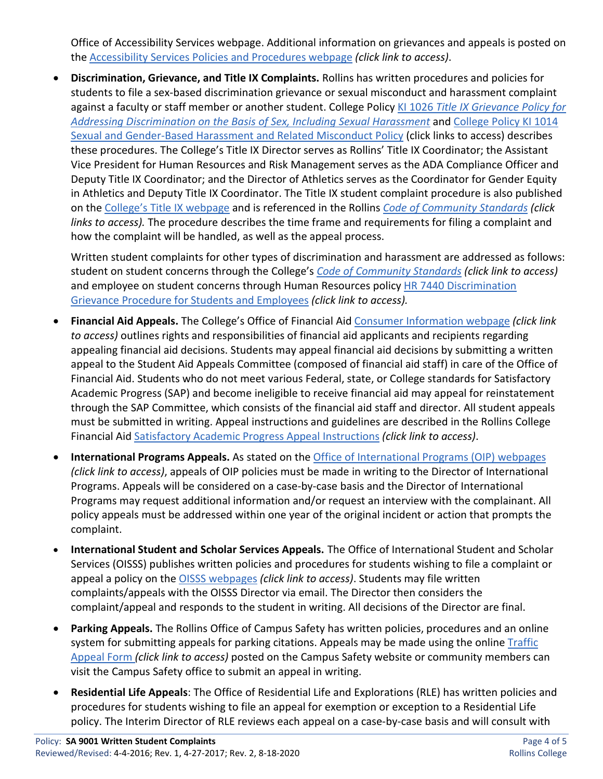Office of Accessibility Services webpage. Additional information on grievances and appeals is posted on the [Accessibility Services Policies and Procedures webpage](https://www.rollins.edu/accessibility-services/policies/) *(click link to access)*.

• **Discrimination, Grievance, and Title IX Complaints.** Rollins has written procedures and policies for students to file a sex-based discrimination grievance or sexual misconduct and harassment complaint against a faculty or staff member or another student. College Policy KI 1026 *[Title IX Grievance Policy for](https://rpublic.rollins.edu/sites/IR/Shared%20Documents/KI%201026%20Title%20IX%20Grievance%20Policy%208-14-20%20FINAL.pdf)  [Addressing Discrimination on the Basis of Sex, Including Sexual Harassment](https://rpublic.rollins.edu/sites/IR/Shared%20Documents/KI%201026%20Title%20IX%20Grievance%20Policy%208-14-20%20FINAL.pdf)* and [College Policy KI 1014](https://rpublic.rollins.edu/sites/IR/Shared%20Documents/KI%201014%20Sex%20and%20Gender-Based%20Harassment-Related%20Misconduct%2009-16-2019.pdf)  [Sexual and Gender-Based Harassment and Related Misconduct Policy](https://rpublic.rollins.edu/sites/IR/Shared%20Documents/KI%201014%20Sex%20and%20Gender-Based%20Harassment-Related%20Misconduct%2009-16-2019.pdf) (click links to access) describes these procedures. The College's Title IX Director serves as Rollins' Title IX Coordinator; the Assistant Vice President for Human Resources and Risk Management serves as the ADA Compliance Officer and Deputy Title IX Coordinator; and the Director of Athletics serves as the Coordinator for Gender Equity in Athletics and Deputy Title IX Coordinator. The Title IX student complaint procedure is also published on the [College's Title IX webpage](https://www.rollins.edu/sexual-misconduct/) and is referenced in the Rollins *[Code of Community Standards](https://www.rollins.edu/community-standards-responsibility/policies/the-code.html) (click links to access).* The procedure describes the time frame and requirements for filing a complaint and how the complaint will be handled, as well as the appeal process.

Written student complaints for other types of discrimination and harassment are addressed as follows: student on student concerns through the College's *[Code of Community Standards](https://www.rollins.edu/community-standards-responsibility/documents/rollins-college-code-of-community-standards.pdf) (click link to access)*  and employee on student concerns through Human Resources policy [HR 7440 Discrimination](https://www.rollins.edu/human-resources/documents/policies/conduct-performance/HR7440-discrimination-grievance-procedure-for-students.pdf)  [Grievance Procedure for Students and Employees](https://www.rollins.edu/human-resources/documents/policies/conduct-performance/HR7440-discrimination-grievance-procedure-for-students.pdf) *(click link to access).*

- **Financial Aid Appeals.** The College's Office of Financial Aid [Consumer Information](https://www.rollins.edu/financial-aid/consumer-information/) webpage *(click link to access)* outlines rights and responsibilities of financial aid applicants and recipients regarding appealing financial aid decisions. Students may appeal financial aid decisions by submitting a written appeal to the Student Aid Appeals Committee (composed of financial aid staff) in care of the Office of Financial Aid. Students who do not meet various Federal, state, or College standards for Satisfactory Academic Progress (SAP) and become ineligible to receive financial aid may appeal for reinstatement through the SAP Committee, which consists of the financial aid staff and director. All student appeals must be submitted in writing. Appeal instructions and guidelines are described in the Rollins College Financial Aid [Satisfactory Academic Progress Appeal Instructions](https://www.rollins.edu/financial-aid/documents/sap-appeal-instructions.pdf) *(click link to access)*.
- **International Programs Appeals.** As stated on the [Office of International Programs \(OIP\) webpages](https://www.rollins.edu/international-programs/academic-information/) *(click link to access)*, appeals of OIP policies must be made in writing to the Director of International Programs. Appeals will be considered on a case-by-case basis and the Director of International Programs may request additional information and/or request an interview with the complainant. All policy appeals must be addressed within one year of the original incident or action that prompts the complaint.
- **International Student and Scholar Services Appeals.** The Office of International Student and Scholar Services (OISSS) publishes written policies and procedures for students wishing to file a complaint or appeal a policy on th[e OISSS webpages](https://www.rollins.edu/international-student-scholar-services/) *(click link to access)*. Students may file written complaints/appeals with the OISSS Director via email. The Director then considers the complaint/appeal and responds to the student in writing. All decisions of the Director are final.
- **Parking Appeals.** The Rollins Office of Campus Safety has written policies, procedures and an online system for submitting appeals for parking citations. Appeals may be made using the onlin[e Traffic](https://www.rollins.edu/campus-safety/traffic-parking/traffic-appeal.html)  [Appeal Form](https://www.rollins.edu/campus-safety/traffic-parking/traffic-appeal.html) *(click link to access)* posted on the Campus Safety website or community members can visit the Campus Safety office to submit an appeal in writing.
- **Residential Life Appeals**: The Office of Residential Life and Explorations (RLE) has written policies and procedures for students wishing to file an appeal for exemption or exception to a Residential Life policy. The Interim Director of RLE reviews each appeal on a case-by-case basis and will consult with